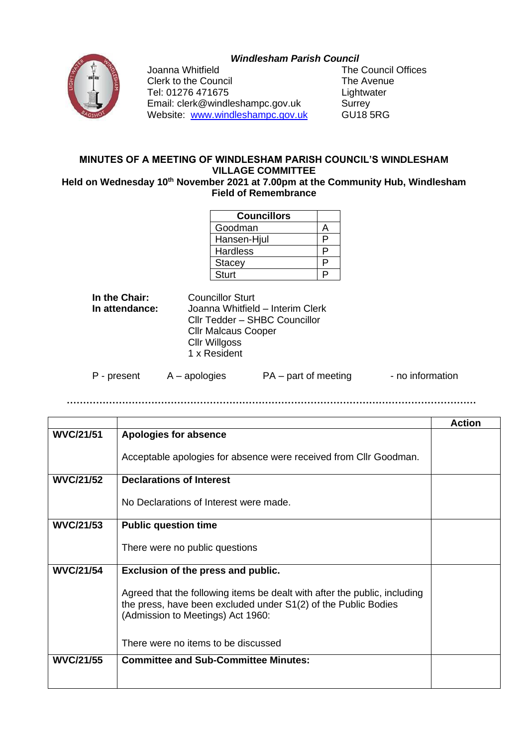## *Windlesham Parish Council*



Clerk to the Council **The Avenue** Tel: 01276 471675 Lightwater Email: clerk@windleshampc.gov.uk Surrey Website: [www.windleshampc.gov.uk](http://www.windleshampc.gov.uk/) GU18 5RG

Joanna Whitfield **The Council Offices** 

## **MINUTES OF A MEETING OF WINDLESHAM PARISH COUNCIL'S WINDLESHAM VILLAGE COMMITTEE**

Held on Wednesday 10<sup>th</sup> November 2021 at 7.00pm at the Community Hub, Windlesham **Field of Remembrance**

| <b>Councillors</b> |    |
|--------------------|----|
| Goodman            |    |
| Hansen-Hjul        | ◻  |
| <b>Hardless</b>    | D  |
| <b>Stacey</b>      | ⊃  |
| <b>Sturt</b>       | J, |

**In the Chair:** Councillor Sturt<br> **In attendance:** Joanna Whitfield **In attendance:** Joanna Whitfield – Interim Clerk Cllr Tedder – SHBC Councillor Cllr Malcaus Cooper Cllr Willgoss 1 x Resident

P - present A – apologies PA – part of meeting - no information

**………………………………………………………………………………………………………………**

|                  |                                                                                                                                                                                  | <b>Action</b> |
|------------------|----------------------------------------------------------------------------------------------------------------------------------------------------------------------------------|---------------|
| <b>WVC/21/51</b> | Apologies for absence                                                                                                                                                            |               |
|                  | Acceptable apologies for absence were received from Cllr Goodman.                                                                                                                |               |
| <b>WVC/21/52</b> | <b>Declarations of Interest</b>                                                                                                                                                  |               |
|                  | No Declarations of Interest were made.                                                                                                                                           |               |
| <b>WVC/21/53</b> | <b>Public question time</b>                                                                                                                                                      |               |
|                  | There were no public questions                                                                                                                                                   |               |
| <b>WVC/21/54</b> | Exclusion of the press and public.                                                                                                                                               |               |
|                  | Agreed that the following items be dealt with after the public, including<br>the press, have been excluded under S1(2) of the Public Bodies<br>(Admission to Meetings) Act 1960: |               |
|                  | There were no items to be discussed                                                                                                                                              |               |
| <b>WVC/21/55</b> | <b>Committee and Sub-Committee Minutes:</b>                                                                                                                                      |               |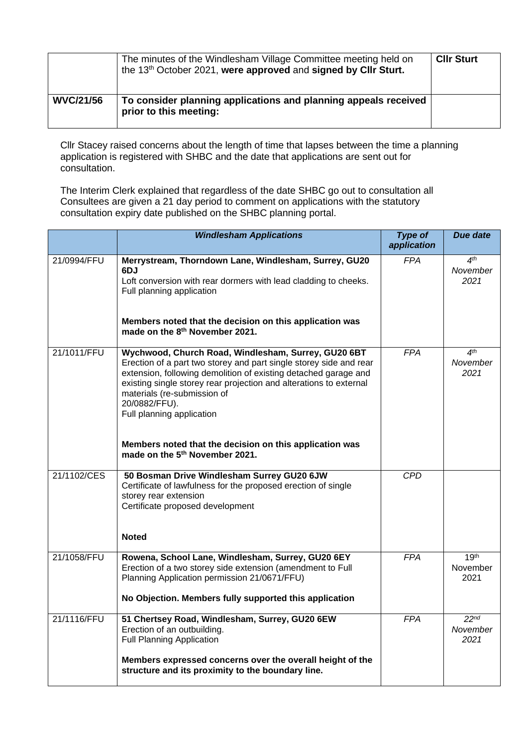|                  | The minutes of the Windlesham Village Committee meeting held on<br>the 13 <sup>th</sup> October 2021, were approved and signed by Cllr Sturt. | <b>CIIr Sturt</b> |
|------------------|-----------------------------------------------------------------------------------------------------------------------------------------------|-------------------|
| <b>WVC/21/56</b> | To consider planning applications and planning appeals received<br>prior to this meeting:                                                     |                   |

Cllr Stacey raised concerns about the length of time that lapses between the time a planning application is registered with SHBC and the date that applications are sent out for consultation.

The Interim Clerk explained that regardless of the date SHBC go out to consultation all Consultees are given a 21 day period to comment on applications with the statutory consultation expiry date published on the SHBC planning portal.

|             | <b>Windlesham Applications</b>                                                                                                                                                                                                                                                                                                                  | <b>Type of</b><br>application | <b>Due date</b>                      |
|-------------|-------------------------------------------------------------------------------------------------------------------------------------------------------------------------------------------------------------------------------------------------------------------------------------------------------------------------------------------------|-------------------------------|--------------------------------------|
| 21/0994/FFU | Merrystream, Thorndown Lane, Windlesham, Surrey, GU20<br>6DJ<br>Loft conversion with rear dormers with lead cladding to cheeks.<br>Full planning application                                                                                                                                                                                    | FPA                           | 4 <sup>th</sup><br>November<br>2021  |
|             | Members noted that the decision on this application was<br>made on the 8 <sup>th</sup> November 2021.                                                                                                                                                                                                                                           |                               |                                      |
| 21/1011/FFU | Wychwood, Church Road, Windlesham, Surrey, GU20 6BT<br>Erection of a part two storey and part single storey side and rear<br>extension, following demolition of existing detached garage and<br>existing single storey rear projection and alterations to external<br>materials (re-submission of<br>20/0882/FFU).<br>Full planning application | <b>FPA</b>                    | 4 <sup>th</sup><br>November<br>2021  |
|             | Members noted that the decision on this application was<br>made on the 5 <sup>th</sup> November 2021.                                                                                                                                                                                                                                           |                               |                                      |
| 21/1102/CES | 50 Bosman Drive Windlesham Surrey GU20 6JW<br>Certificate of lawfulness for the proposed erection of single<br>storey rear extension<br>Certificate proposed development                                                                                                                                                                        | CPD                           |                                      |
|             | <b>Noted</b>                                                                                                                                                                                                                                                                                                                                    |                               |                                      |
| 21/1058/FFU | Rowena, School Lane, Windlesham, Surrey, GU20 6EY<br>Erection of a two storey side extension (amendment to Full<br>Planning Application permission 21/0671/FFU)<br>No Objection. Members fully supported this application                                                                                                                       | <b>FPA</b>                    | 19 <sup>th</sup><br>November<br>2021 |
|             |                                                                                                                                                                                                                                                                                                                                                 |                               |                                      |
| 21/1116/FFU | 51 Chertsey Road, Windlesham, Surrey, GU20 6EW<br>Erection of an outbuilding.<br><b>Full Planning Application</b>                                                                                                                                                                                                                               | <b>FPA</b>                    | 22 <sup>nd</sup><br>November<br>2021 |
|             | Members expressed concerns over the overall height of the<br>structure and its proximity to the boundary line.                                                                                                                                                                                                                                  |                               |                                      |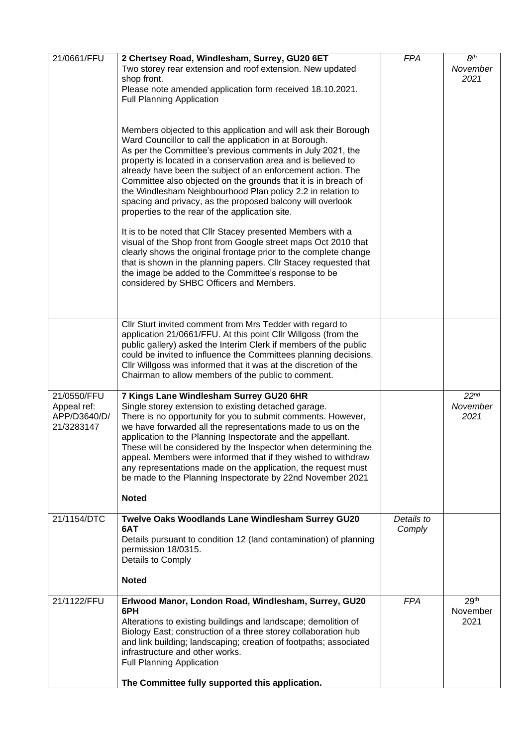| 21/0661/FFU                                              | 2 Chertsey Road, Windlesham, Surrey, GU20 6ET<br>Two storey rear extension and roof extension. New updated<br>shop front.<br>Please note amended application form received 18.10.2021.<br><b>Full Planning Application</b><br>Members objected to this application and will ask their Borough                                                                                                                                                                                                                                                                                   | <b>FPA</b>           | 8 <sup>th</sup><br>November<br>2021  |
|----------------------------------------------------------|---------------------------------------------------------------------------------------------------------------------------------------------------------------------------------------------------------------------------------------------------------------------------------------------------------------------------------------------------------------------------------------------------------------------------------------------------------------------------------------------------------------------------------------------------------------------------------|----------------------|--------------------------------------|
|                                                          | Ward Councillor to call the application in at Borough.<br>As per the Committee's previous comments in July 2021, the<br>property is located in a conservation area and is believed to<br>already have been the subject of an enforcement action. The<br>Committee also objected on the grounds that it is in breach of<br>the Windlesham Neighbourhood Plan policy 2.2 in relation to<br>spacing and privacy, as the proposed balcony will overlook<br>properties to the rear of the application site.                                                                          |                      |                                      |
|                                                          | It is to be noted that Cllr Stacey presented Members with a<br>visual of the Shop front from Google street maps Oct 2010 that<br>clearly shows the original frontage prior to the complete change<br>that is shown in the planning papers. Cllr Stacey requested that<br>the image be added to the Committee's response to be<br>considered by SHBC Officers and Members.                                                                                                                                                                                                       |                      |                                      |
|                                                          | Cllr Sturt invited comment from Mrs Tedder with regard to<br>application 21/0661/FFU. At this point Cllr Willgoss (from the<br>public gallery) asked the Interim Clerk if members of the public<br>could be invited to influence the Committees planning decisions.<br>Cllr Willgoss was informed that it was at the discretion of the<br>Chairman to allow members of the public to comment.                                                                                                                                                                                   |                      |                                      |
| 21/0550/FFU<br>Appeal ref:<br>APP/D3640/D/<br>21/3283147 | 7 Kings Lane Windlesham Surrey GU20 6HR<br>Single storey extension to existing detached garage.<br>There is no opportunity for you to submit comments. However,<br>we have forwarded all the representations made to us on the<br>application to the Planning Inspectorate and the appellant.<br>These will be considered by the Inspector when determining the<br>appeal. Members were informed that if they wished to withdraw<br>any representations made on the application, the request must<br>be made to the Planning Inspectorate by 22nd November 2021<br><b>Noted</b> |                      | 22 <sup>nd</sup><br>November<br>2021 |
| 21/1154/DTC                                              | Twelve Oaks Woodlands Lane Windlesham Surrey GU20<br>6AT<br>Details pursuant to condition 12 (land contamination) of planning<br>permission 18/0315.<br>Details to Comply<br><b>Noted</b>                                                                                                                                                                                                                                                                                                                                                                                       | Details to<br>Comply |                                      |
| 21/1122/FFU                                              | Erlwood Manor, London Road, Windlesham, Surrey, GU20<br>6PH<br>Alterations to existing buildings and landscape; demolition of<br>Biology East; construction of a three storey collaboration hub<br>and link building; landscaping; creation of footpaths; associated<br>infrastructure and other works.<br><b>Full Planning Application</b><br>The Committee fully supported this application.                                                                                                                                                                                  | <b>FPA</b>           | 29 <sup>th</sup><br>November<br>2021 |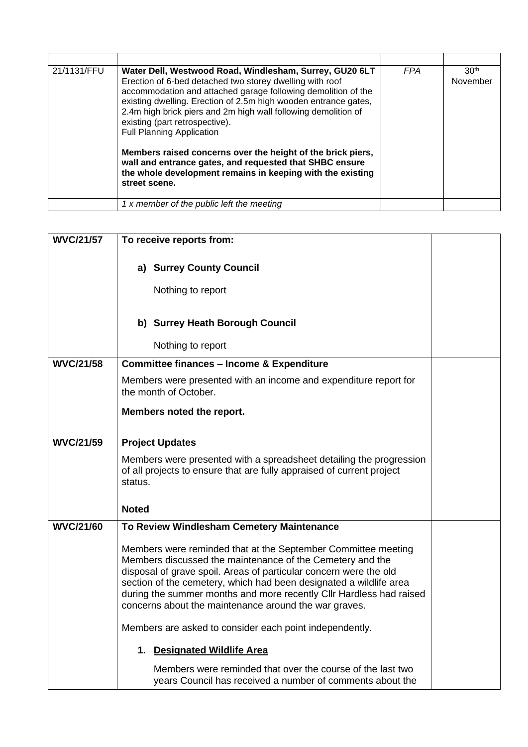| 21/1131/FFU | Water Dell, Westwood Road, Windlesham, Surrey, GU20 6LT<br>Erection of 6-bed detached two storey dwelling with roof<br>accommodation and attached garage following demolition of the<br>existing dwelling. Erection of 2.5m high wooden entrance gates,<br>2.4m high brick piers and 2m high wall following demolition of<br>existing (part retrospective).<br><b>Full Planning Application</b><br>Members raised concerns over the height of the brick piers,<br>wall and entrance gates, and requested that SHBC ensure<br>the whole development remains in keeping with the existing<br>street scene. | <b>FPA</b> | 30 <sup>th</sup><br>November |
|-------------|----------------------------------------------------------------------------------------------------------------------------------------------------------------------------------------------------------------------------------------------------------------------------------------------------------------------------------------------------------------------------------------------------------------------------------------------------------------------------------------------------------------------------------------------------------------------------------------------------------|------------|------------------------------|
|             | 1 x member of the public left the meeting                                                                                                                                                                                                                                                                                                                                                                                                                                                                                                                                                                |            |                              |

| <b>WVC/21/57</b> | To receive reports from:                                                                                                                                                                                                                                                                                                                                                                              |  |
|------------------|-------------------------------------------------------------------------------------------------------------------------------------------------------------------------------------------------------------------------------------------------------------------------------------------------------------------------------------------------------------------------------------------------------|--|
|                  | a) Surrey County Council<br>Nothing to report                                                                                                                                                                                                                                                                                                                                                         |  |
|                  | b) Surrey Heath Borough Council<br>Nothing to report                                                                                                                                                                                                                                                                                                                                                  |  |
| <b>WVC/21/58</b> | <b>Committee finances - Income &amp; Expenditure</b>                                                                                                                                                                                                                                                                                                                                                  |  |
|                  | Members were presented with an income and expenditure report for<br>the month of October.                                                                                                                                                                                                                                                                                                             |  |
|                  | Members noted the report.                                                                                                                                                                                                                                                                                                                                                                             |  |
| <b>WVC/21/59</b> | <b>Project Updates</b>                                                                                                                                                                                                                                                                                                                                                                                |  |
|                  | Members were presented with a spreadsheet detailing the progression<br>of all projects to ensure that are fully appraised of current project<br>status.                                                                                                                                                                                                                                               |  |
|                  | <b>Noted</b>                                                                                                                                                                                                                                                                                                                                                                                          |  |
| <b>WVC/21/60</b> | To Review Windlesham Cemetery Maintenance                                                                                                                                                                                                                                                                                                                                                             |  |
|                  | Members were reminded that at the September Committee meeting<br>Members discussed the maintenance of the Cemetery and the<br>disposal of grave spoil. Areas of particular concern were the old<br>section of the cemetery, which had been designated a wildlife area<br>during the summer months and more recently CIIr Hardless had raised<br>concerns about the maintenance around the war graves. |  |
|                  | Members are asked to consider each point independently.                                                                                                                                                                                                                                                                                                                                               |  |
|                  | 1. Designated Wildlife Area                                                                                                                                                                                                                                                                                                                                                                           |  |
|                  | Members were reminded that over the course of the last two<br>years Council has received a number of comments about the                                                                                                                                                                                                                                                                               |  |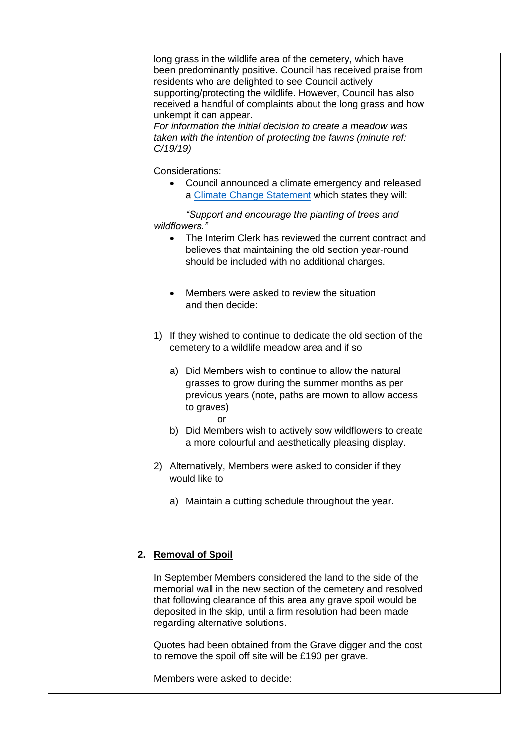| long grass in the wildlife area of the cemetery, which have<br>been predominantly positive. Council has received praise from<br>residents who are delighted to see Council actively<br>supporting/protecting the wildlife. However, Council has also<br>received a handful of complaints about the long grass and how<br>unkempt it can appear.<br>For information the initial decision to create a meadow was<br>taken with the intention of protecting the fawns (minute ref:<br>C/19/19 |  |
|--------------------------------------------------------------------------------------------------------------------------------------------------------------------------------------------------------------------------------------------------------------------------------------------------------------------------------------------------------------------------------------------------------------------------------------------------------------------------------------------|--|
| Considerations:<br>Council announced a climate emergency and released<br>$\bullet$<br>a Climate Change Statement which states they will:                                                                                                                                                                                                                                                                                                                                                   |  |
| "Support and encourage the planting of trees and<br>wildflowers."<br>The Interim Clerk has reviewed the current contract and<br>believes that maintaining the old section year-round<br>should be included with no additional charges.                                                                                                                                                                                                                                                     |  |
| Members were asked to review the situation<br>and then decide:                                                                                                                                                                                                                                                                                                                                                                                                                             |  |
| If they wished to continue to dedicate the old section of the<br>1)<br>cemetery to a wildlife meadow area and if so                                                                                                                                                                                                                                                                                                                                                                        |  |
| a) Did Members wish to continue to allow the natural<br>grasses to grow during the summer months as per<br>previous years (note, paths are mown to allow access<br>to graves)                                                                                                                                                                                                                                                                                                              |  |
| or<br>b) Did Members wish to actively sow wildflowers to create<br>a more colourful and aesthetically pleasing display.                                                                                                                                                                                                                                                                                                                                                                    |  |
| Alternatively, Members were asked to consider if they<br>2)<br>would like to                                                                                                                                                                                                                                                                                                                                                                                                               |  |
| a) Maintain a cutting schedule throughout the year.                                                                                                                                                                                                                                                                                                                                                                                                                                        |  |
| 2. Removal of Spoil                                                                                                                                                                                                                                                                                                                                                                                                                                                                        |  |
| In September Members considered the land to the side of the<br>memorial wall in the new section of the cemetery and resolved<br>that following clearance of this area any grave spoil would be<br>deposited in the skip, until a firm resolution had been made<br>regarding alternative solutions.                                                                                                                                                                                         |  |
| Quotes had been obtained from the Grave digger and the cost<br>to remove the spoil off site will be £190 per grave.                                                                                                                                                                                                                                                                                                                                                                        |  |
| Members were asked to decide:                                                                                                                                                                                                                                                                                                                                                                                                                                                              |  |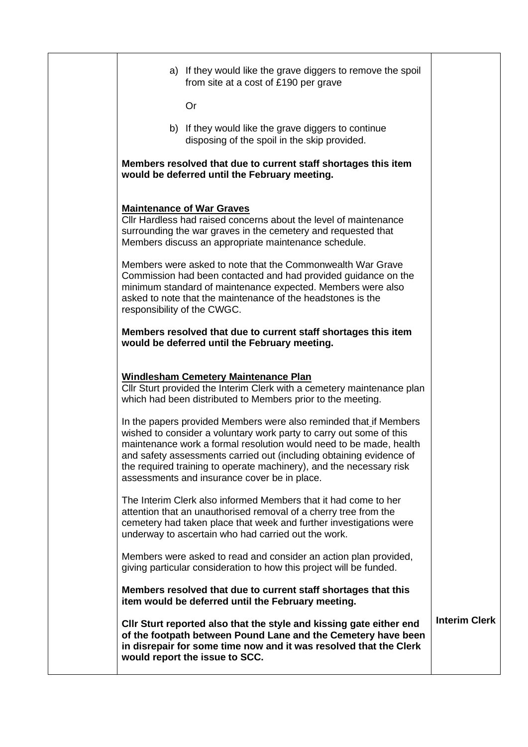| a) If they would like the grave diggers to remove the spoil<br>from site at a cost of £190 per grave                                                                                                                                                                                                                                                                                                         |                      |
|--------------------------------------------------------------------------------------------------------------------------------------------------------------------------------------------------------------------------------------------------------------------------------------------------------------------------------------------------------------------------------------------------------------|----------------------|
| Or                                                                                                                                                                                                                                                                                                                                                                                                           |                      |
| b) If they would like the grave diggers to continue<br>disposing of the spoil in the skip provided.                                                                                                                                                                                                                                                                                                          |                      |
| Members resolved that due to current staff shortages this item<br>would be deferred until the February meeting.                                                                                                                                                                                                                                                                                              |                      |
| <b>Maintenance of War Graves</b><br>Cllr Hardless had raised concerns about the level of maintenance<br>surrounding the war graves in the cemetery and requested that<br>Members discuss an appropriate maintenance schedule.                                                                                                                                                                                |                      |
| Members were asked to note that the Commonwealth War Grave<br>Commission had been contacted and had provided guidance on the<br>minimum standard of maintenance expected. Members were also<br>asked to note that the maintenance of the headstones is the<br>responsibility of the CWGC.                                                                                                                    |                      |
| Members resolved that due to current staff shortages this item<br>would be deferred until the February meeting.                                                                                                                                                                                                                                                                                              |                      |
| <b>Windlesham Cemetery Maintenance Plan</b><br>Cllr Sturt provided the Interim Clerk with a cemetery maintenance plan<br>which had been distributed to Members prior to the meeting.                                                                                                                                                                                                                         |                      |
| In the papers provided Members were also reminded that if Members<br>wished to consider a voluntary work party to carry out some of this<br>maintenance work a formal resolution would need to be made, health<br>and safety assessments carried out (including obtaining evidence of<br>the required training to operate machinery), and the necessary risk<br>assessments and insurance cover be in place. |                      |
| The Interim Clerk also informed Members that it had come to her<br>attention that an unauthorised removal of a cherry tree from the<br>cemetery had taken place that week and further investigations were<br>underway to ascertain who had carried out the work.                                                                                                                                             |                      |
| Members were asked to read and consider an action plan provided,<br>giving particular consideration to how this project will be funded.                                                                                                                                                                                                                                                                      |                      |
| Members resolved that due to current staff shortages that this<br>item would be deferred until the February meeting.                                                                                                                                                                                                                                                                                         |                      |
| CIIr Sturt reported also that the style and kissing gate either end<br>of the footpath between Pound Lane and the Cemetery have been<br>in disrepair for some time now and it was resolved that the Clerk<br>would report the issue to SCC.                                                                                                                                                                  | <b>Interim Clerk</b> |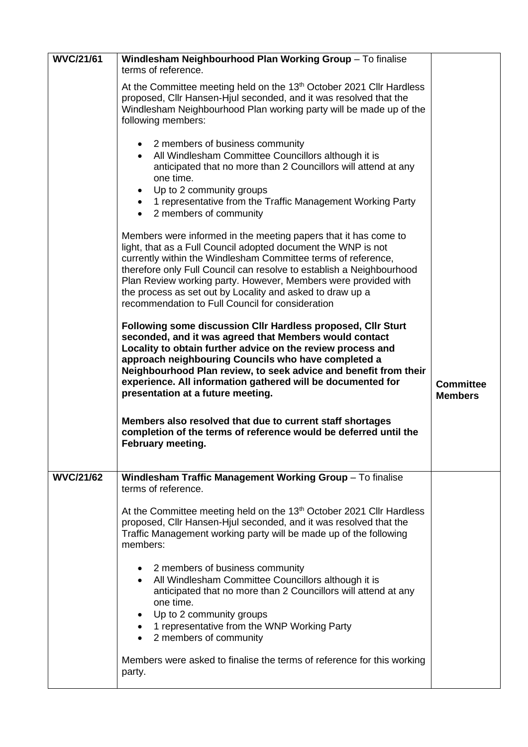| <b>WVC/21/61</b> | Windlesham Neighbourhood Plan Working Group - To finalise<br>terms of reference.                                                                                                                                                                                                                                                                                                                                                                             |                                    |
|------------------|--------------------------------------------------------------------------------------------------------------------------------------------------------------------------------------------------------------------------------------------------------------------------------------------------------------------------------------------------------------------------------------------------------------------------------------------------------------|------------------------------------|
|                  | At the Committee meeting held on the 13 <sup>th</sup> October 2021 Cllr Hardless<br>proposed, Cllr Hansen-Hjul seconded, and it was resolved that the<br>Windlesham Neighbourhood Plan working party will be made up of the<br>following members:                                                                                                                                                                                                            |                                    |
|                  | • 2 members of business community<br>• All Windlesham Committee Councillors although it is<br>anticipated that no more than 2 Councillors will attend at any<br>one time.<br>Up to 2 community groups<br>$\bullet$<br>• 1 representative from the Traffic Management Working Party<br>2 members of community                                                                                                                                                 |                                    |
|                  | Members were informed in the meeting papers that it has come to<br>light, that as a Full Council adopted document the WNP is not<br>currently within the Windlesham Committee terms of reference,<br>therefore only Full Council can resolve to establish a Neighbourhood<br>Plan Review working party. However, Members were provided with<br>the process as set out by Locality and asked to draw up a<br>recommendation to Full Council for consideration |                                    |
|                  | Following some discussion CIIr Hardless proposed, CIIr Sturt<br>seconded, and it was agreed that Members would contact<br>Locality to obtain further advice on the review process and<br>approach neighbouring Councils who have completed a<br>Neighbourhood Plan review, to seek advice and benefit from their<br>experience. All information gathered will be documented for<br>presentation at a future meeting.                                         | <b>Committee</b><br><b>Members</b> |
|                  | Members also resolved that due to current staff shortages<br>completion of the terms of reference would be deferred until the<br>February meeting.                                                                                                                                                                                                                                                                                                           |                                    |
| <b>WVC/21/62</b> | Windlesham Traffic Management Working Group - To finalise<br>terms of reference.                                                                                                                                                                                                                                                                                                                                                                             |                                    |
|                  | At the Committee meeting held on the 13 <sup>th</sup> October 2021 Cllr Hardless<br>proposed, Cllr Hansen-Hjul seconded, and it was resolved that the<br>Traffic Management working party will be made up of the following<br>members:                                                                                                                                                                                                                       |                                    |
|                  | • 2 members of business community<br>• All Windlesham Committee Councillors although it is<br>anticipated that no more than 2 Councillors will attend at any<br>one time.<br>• Up to 2 community groups<br>• 1 representative from the WNP Working Party<br>2 members of community                                                                                                                                                                           |                                    |
|                  | Members were asked to finalise the terms of reference for this working<br>party.                                                                                                                                                                                                                                                                                                                                                                             |                                    |